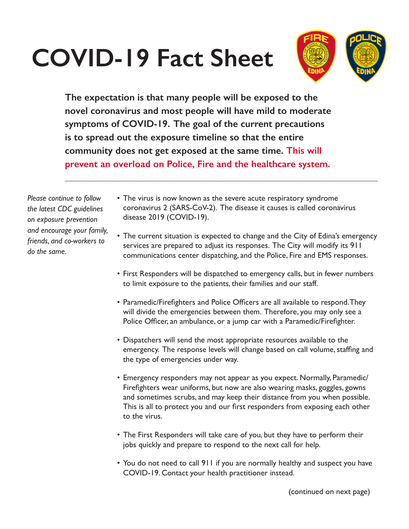## **COVID-19 Fact Sheet**



**The expectation is that many people will be exposed to the novel coronavirus and most people will have mild to moderate symptoms of COVID-19. The goal of the current precautions is to spread out the exposure timeline so that the entire community does not get exposed at the same time. This will prevent an overload on Police, Fire and the healthcare system.**

*Please continue to follow the latest CDC guidelines on exposure prevention and encourage your family, friends, and co-workers to do the same.*

- The virus is now known as the severe acute respiratory syndrome coronavirus 2 (SARS-CoV-2). The disease it causes is called coronavirus disease 2019 (COVID-19).
- The current situation is expected to change and the City of Edina's emergency services are prepared to adjust its responses. The City will modify its 911 communications center dispatching, and the Police, Fire and EMS responses.
- First Responders will be dispatched to emergency calls, but in fewer numbers to limit exposure to the patients, their families and our staff.
- Paramedic/Firefighters and Police Officers are all available to respond. They will divide the emergencies between them. Therefore, you may only see a Police Officer, an ambulance, or a jump car with a Paramedic/Firefighter.
- Dispatchers will send the most appropriate resources available to the emergency. The response levels will change based on call volume, staffing and the type of emergencies under way.
- Emergency responders may not appear as you expect. Normally, Paramedic/ Firefighters wear uniforms, but now are also wearing masks, goggles, gowns and sometimes scrubs, and may keep their distance from you when possible. This is all to protect you and our first responders from exposing each other to the virus.
- The First Responders will take care of you, but they have to perform their jobs quickly and prepare to respond to the next call for help.
- You do not need to call 911 if you are normally healthy and suspect you have COVID-19. Contact your health practitioner instead.